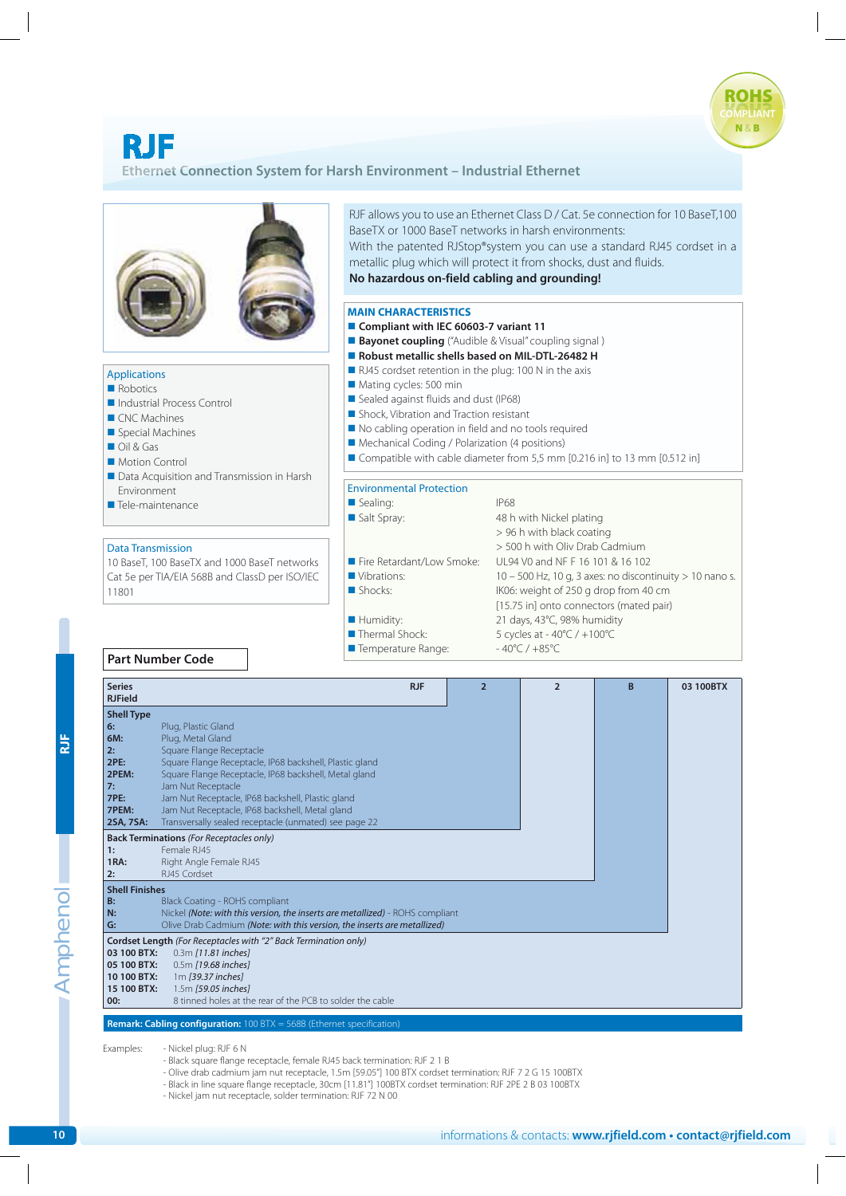## **RJF**

## **Ethernet Connection System for Harsh Environment - Industrial Ethernet**



| <b>RJF</b> | 6:<br>6M:<br>2:<br><b>2PE:</b><br>2PEM:                                                                                                                                                                                                                                                   | Plug, Plastic Gland<br>Plug, Metal Gland<br>Square Flange Receptacle<br>Square Flange Receptacle, IP68 backshell, Plastic gland<br>Square Flange Receptacle, IP68 backshell, Metal gland                                                                                                                                                                                                    |                                                                |  |  |
|------------|-------------------------------------------------------------------------------------------------------------------------------------------------------------------------------------------------------------------------------------------------------------------------------------------|---------------------------------------------------------------------------------------------------------------------------------------------------------------------------------------------------------------------------------------------------------------------------------------------------------------------------------------------------------------------------------------------|----------------------------------------------------------------|--|--|
|            | 7:<br>7PE:<br>7PEM:<br>2SA, 7SA:                                                                                                                                                                                                                                                          | Jam Nut Receptacle<br>Jam Nut Receptacle, IP68 backshell, Plastic gland<br>Jam Nut Receptacle, IP68 backshell, Metal gland<br>Transversally sealed receptacle (unmated) see page 22                                                                                                                                                                                                         |                                                                |  |  |
|            | 1:<br>1RA:<br>2:                                                                                                                                                                                                                                                                          | <b>Back Terminations</b> (For Receptacles only)<br>Female RJ45<br>Right Angle Female RJ45<br>RJ45 Cordset                                                                                                                                                                                                                                                                                   |                                                                |  |  |
|            | <b>Shell Finishes</b><br>B:<br>N:<br>G:                                                                                                                                                                                                                                                   | Black Coating - ROHS compliant<br>Nickel (Note: with this version, the inserts are metallized) - ROHS compliant<br>Olive Drab Cadmium (Note: with this version, the inserts are metallized)                                                                                                                                                                                                 |                                                                |  |  |
| Amphenol   | Cordset Length (For Receptacles with "2" Back Termination only)<br>03 100 BTX:<br>0.3m [11.81 inches]<br>0.5m [19.68 inches]<br>05 100 BTX:<br>10 100 BTX:<br>1m [39.37 inches]<br>1.5m [59.05 inches]<br>15 100 BTX:<br>8 tinned holes at the rear of the PCB to solder the cable<br>00: |                                                                                                                                                                                                                                                                                                                                                                                             |                                                                |  |  |
|            | <b>Remark: Cabling configuration:</b> 100 BTX = 568B (Ethernet specification)                                                                                                                                                                                                             |                                                                                                                                                                                                                                                                                                                                                                                             |                                                                |  |  |
|            | Examples:                                                                                                                                                                                                                                                                                 | - Nickel plug: RJF 6 N<br>- Black square flange receptacle, female RJ45 back termination: RJF 2 1 B<br>- Olive drab cadmium jam nut receptacle, 1.5m [59.05"] 100 BTX cordset termination: RJF 7 2 G 15 100BTX<br>- Black in line square flange receptacle, 30cm [11.81"] 100BTX cordset termination: RJF 2PE 2 B 03 100BTX<br>- Nickel jam nut receptacle, solder termination: RJF 72 N 00 |                                                                |  |  |
| 10         |                                                                                                                                                                                                                                                                                           |                                                                                                                                                                                                                                                                                                                                                                                             | informations & contacts: www.rjfield.com • contact@rjfield.com |  |  |

- Black square flange receptacle, female RJ45 back termination: RJF 2 1 B
- Olive drab cadmium jam nut receptacle, 1.5m [59.05"] 100 BTX cordset termination: RJF 7 2 G 15 100BTX
- Black in line square flange receptacle, 30cm [11.81"] 100BTX cordset termination: RJF 2PE 2 B 03 100BTX

**COMPLIANT ROI** 

**N** & **B**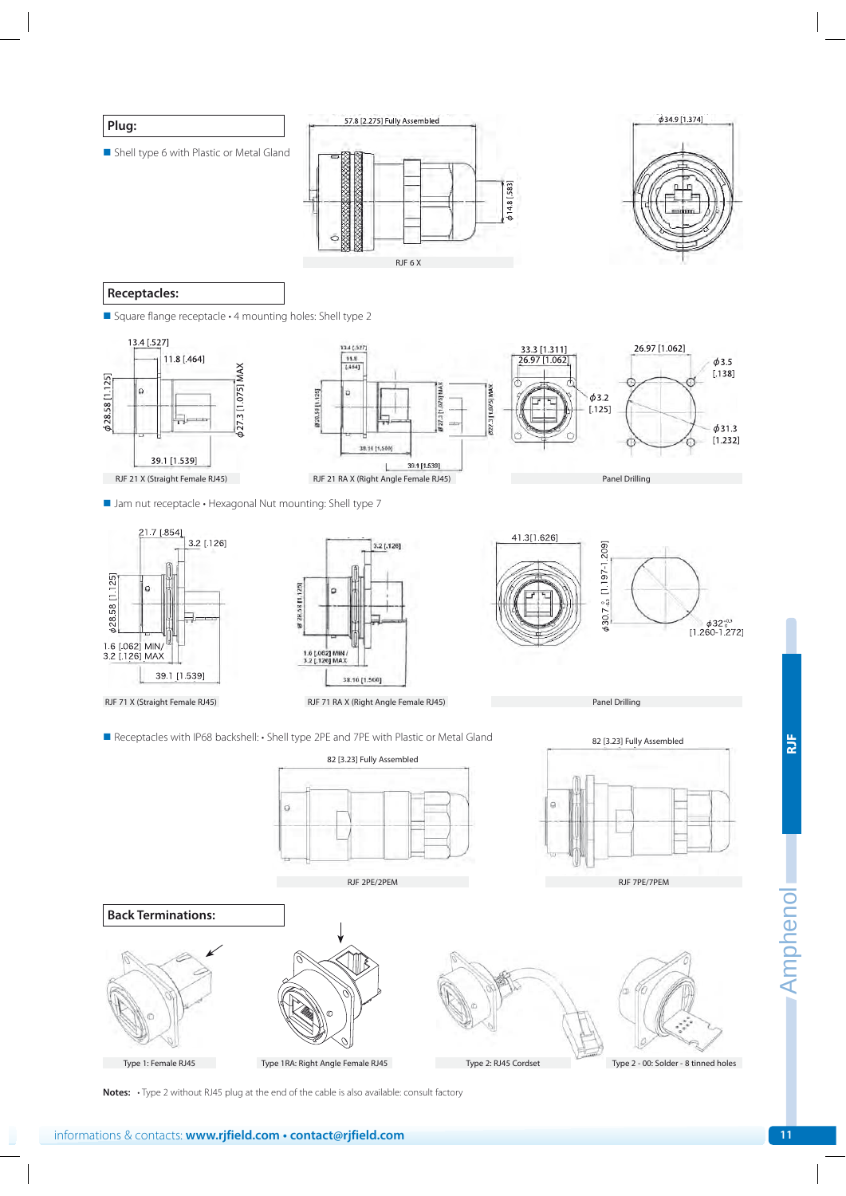

**Notes:** . Type 2 without RJ45 plug at the end of the cable is also available: consult factory

Amphenol